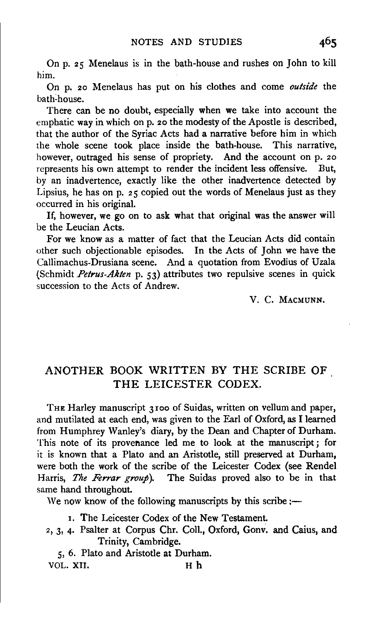On p. 25 Menelaus is in the bath-house and rushes on John to kill him.

On p. 20 Menelaus has put on his clothes and come *outside* the bath~ house.

There can be no doubt, especially when we take into account the emphatic way in which on p. 20 the modesty of the Apostle is described, that the author of the Syriac Acts had a narrative before him in which the whole scene took place inside the bath-house. This narrative, however, outraged his sense of propriety. And the account on p. 20 represents his own attempt to render the incident less offensive. But, by an inadvertence, exactly like the other inadvertence detected by Lipsius, he has on p. 25 copied out the words of Menelaus just as they occurred in his original.

If, however, we go on to ask what that original was the answer will be the Leucian Acts.

For we know as a matter of fact that the Leucian Acts did contain other such objectionable episodes. In the Acts of John we have the Callimachus-Drusiana scene. And a quotation from Evodius of Uzala (Schmidt *Petrus-Akten* p. 53) attributes two repulsive scenes in quick succession to the Acts of Andrew.

V. C. MACMUNN.

## ANOTHER BOOK WRITTEN BY THE SCRIBE OF THE LEICESTER CODEX.

THE Harley manuscript 3100 of Suidas, written on vellum and paper, and mutilated at each end, was given to the Earl of Oxford, as I learned from Humphrey Wanley's diary, by the Dean and Chapter of Durham. This note of its provenance led me to look at the manuscript; for it is known that a Plato and an Aristotle, still preserved at Durham, were both the work of the scribe of the Leicester Codex (see Rendel Harris, *The Ferrar group).* The Suidas proved also to be in that same hand throughout.

We now know of the following manuscripts by this scribe: $\rightarrow$ 

I. The Leicester Codex of the New Testament.

- *z,* 3, 4· Psalter at Corpus Chr. Coli., Oxford, Gonv. and Caius, and Trinity, Cambridge.
- 5, 6. Plato and Aristotle at Durham. VOL. XII. H h